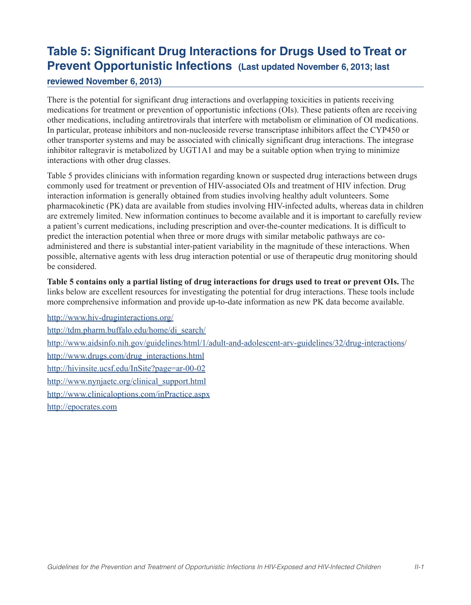# **Table 5: Significant Drug Interactions for Drugs Used to Treat or Prevent Opportunistic Infections (Last updated November 6, 2013; last**

#### **reviewed November 6, 2013)**

There is the potential for significant drug interactions and overlapping toxicities in patients receiving medications for treatment or prevention of opportunistic infections (OIs). These patients often are receiving other medications, including antiretrovirals that interfere with metabolism or elimination of OI medications. In particular, protease inhibitors and non-nucleoside reverse transcriptase inhibitors affect the CYP450 or other transporter systems and may be associated with clinically significant drug interactions. The integrase inhibitor raltegravir is metabolized by UGT1A1 and may be a suitable option when trying to minimize interactions with other drug classes.

Table 5 provides clinicians with information regarding known or suspected drug interactions between drugs commonly used for treatment or prevention of HIV-associated OIs and treatment of HIV infection. Drug interaction information is generally obtained from studies involving healthy adult volunteers. Some pharmacokinetic (PK) data are available from studies involving HIV-infected adults, whereas data in children are extremely limited. New information continues to become available and it is important to carefully review a patient's current medications, including prescription and over-the-counter medications. It is difficult to predict the interaction potential when three or more drugs with similar metabolic pathways are coadministered and there is substantial inter-patient variability in the magnitude of these interactions. When possible, alternative agents with less drug interaction potential or use of therapeutic drug monitoring should be considered.

**Table 5 contains only a partial listing of drug interactions for drugs used to treat or prevent OIs.** The links below are excellent resources for investigating the potential for drug interactions. These tools include more comprehensive information and provide up-to-date information as new PK data become available.

http://www.hiv-druginteractions.org/ http://tdm.pharm.buffalo.edu/home/di\_search/ http://www.aidsinfo.nih.gov/guidelines/html/1/adult-and-adolescent-arv-guidelines/32/drug-interactions/ http://www.drugs.com/drug\_interactions.html http://hivinsite.ucsf.edu/InSite?page=ar-00-02 http://www.nynjaetc.org/clinical\_support.html http://www.clinicaloptions.com/inPractice.aspx http://epocrates.com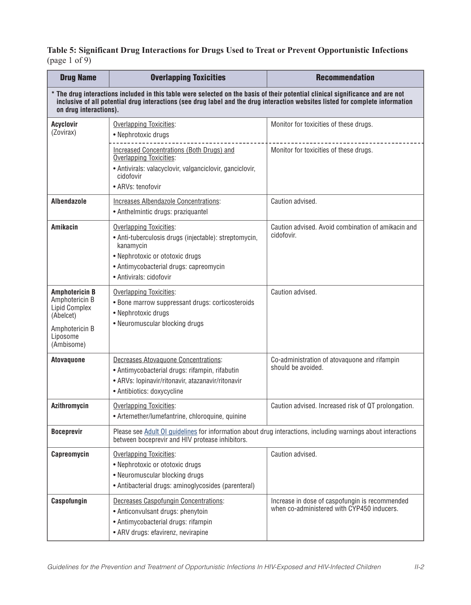# **Table 5: Significant Drug Interactions for Drugs Used to Treat or Prevent Opportunistic Infections** (page 1 of  $9$ )

| <b>Drug Name</b>                                                                                                                                                                                                                                                                           | <b>Overlapping Toxicities</b>                                                                                                                                                                                | <b>Recommendation</b>                                                                        |
|--------------------------------------------------------------------------------------------------------------------------------------------------------------------------------------------------------------------------------------------------------------------------------------------|--------------------------------------------------------------------------------------------------------------------------------------------------------------------------------------------------------------|----------------------------------------------------------------------------------------------|
| * The drug interactions included in this table were selected on the basis of their potential clinical significance and are not<br>inclusive of all potential drug interactions (see drug label and the drug interaction websites listed for complete information<br>on drug interactions). |                                                                                                                                                                                                              |                                                                                              |
| <b>Acyclovir</b><br>(Zovirax)                                                                                                                                                                                                                                                              | Overlapping Toxicities:<br>• Nephrotoxic drugs                                                                                                                                                               | Monitor for toxicities of these drugs.                                                       |
|                                                                                                                                                                                                                                                                                            | Increased Concentrations (Both Drugs) and<br>Overlapping Toxicities:<br>• Antivirals: valacyclovir, valganciclovir, ganciclovir,<br>cidofovir<br>• ARVs: tenofovir                                           | Monitor for toxicities of these drugs.                                                       |
| <b>Albendazole</b>                                                                                                                                                                                                                                                                         | Increases Albendazole Concentrations:<br>• Anthelmintic drugs: praziquantel                                                                                                                                  | Caution advised.                                                                             |
| <b>Amikacin</b>                                                                                                                                                                                                                                                                            | <b>Overlapping Toxicities:</b><br>• Anti-tuberculosis drugs (injectable): streptomycin,<br>kanamycin<br>• Nephrotoxic or ototoxic drugs<br>• Antimycobacterial drugs: capreomycin<br>• Antivirals: cidofovir | Caution advised. Avoid combination of amikacin and<br>cidofovir.                             |
| <b>Amphotericin B</b><br>Amphotericin B<br>Lipid Complex<br>(Abelcet)<br>Amphotericin B<br>Liposome<br>(Ambisome)                                                                                                                                                                          | Overlapping Toxicities:<br>• Bone marrow suppressant drugs: corticosteroids<br>• Nephrotoxic drugs<br>• Neuromuscular blocking drugs                                                                         | Caution advised.                                                                             |
| <b>Atovaquone</b>                                                                                                                                                                                                                                                                          | <b>Decreases Atovaguone Concentrations:</b><br>• Antimycobacterial drugs: rifampin, rifabutin<br>• ARVs: lopinavir/ritonavir, atazanavir/ritonavir<br>• Antibiotics: doxycycline                             | Co-administration of atovaquone and rifampin<br>should be avoided.                           |
| <b>Azithromycin</b>                                                                                                                                                                                                                                                                        | Overlapping Toxicities:<br>• Artemether/lumefantrine, chloroquine, quinine                                                                                                                                   | Caution advised. Increased risk of QT prolongation.                                          |
| <b>Boceprevir</b>                                                                                                                                                                                                                                                                          | Please see Adult OI guidelines for information about drug interactions, including warnings about interactions<br>between boceprevir and HIV protease inhibitors.                                             |                                                                                              |
| Capreomycin                                                                                                                                                                                                                                                                                | Overlapping Toxicities:<br>• Nephrotoxic or ototoxic drugs<br>• Neuromuscular blocking drugs<br>• Antibacterial drugs: aminoglycosides (parenteral)                                                          | Caution advised.                                                                             |
| Caspofungin                                                                                                                                                                                                                                                                                | Decreases Caspofungin Concentrations:<br>• Anticonvulsant drugs: phenytoin<br>• Antimycobacterial drugs: rifampin<br>• ARV drugs: efavirenz, nevirapine                                                      | Increase in dose of caspofungin is recommended<br>when co-administered with CYP450 inducers. |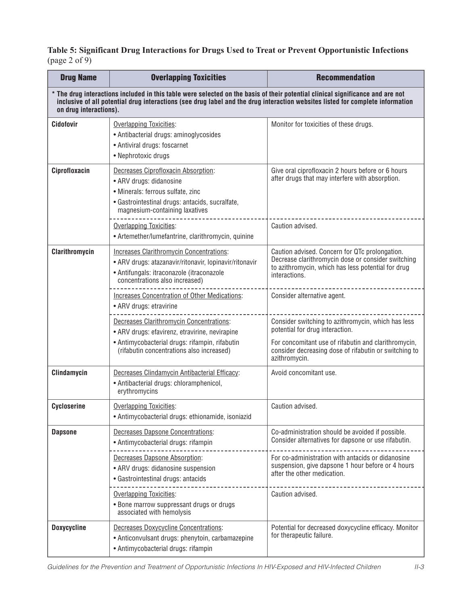# **Table 5: Significant Drug Interactions for Drugs Used to Treat or Prevent Opportunistic Infections** (page 2 of 9)

| <b>Drug Name</b>                                                                                                                                                                                                                                                                           | <b>Overlapping Toxicities</b>                                                                                                                                                             | <b>Recommendation</b>                                                                                                                                                                                                   |
|--------------------------------------------------------------------------------------------------------------------------------------------------------------------------------------------------------------------------------------------------------------------------------------------|-------------------------------------------------------------------------------------------------------------------------------------------------------------------------------------------|-------------------------------------------------------------------------------------------------------------------------------------------------------------------------------------------------------------------------|
| * The drug interactions included in this table were selected on the basis of their potential clinical significance and are not<br>inclusive of all potential drug interactions (see drug label and the drug interaction websites listed for complete information<br>on drug interactions). |                                                                                                                                                                                           |                                                                                                                                                                                                                         |
| <b>Cidofovir</b>                                                                                                                                                                                                                                                                           | <b>Overlapping Toxicities:</b><br>• Antibacterial drugs: aminoglycosides<br>• Antiviral drugs: foscarnet<br>• Nephrotoxic drugs                                                           | Monitor for toxicities of these drugs.                                                                                                                                                                                  |
| Ciprofloxacin                                                                                                                                                                                                                                                                              | Decreases Ciprofloxacin Absorption:<br>• ARV drugs: didanosine<br>· Minerals: ferrous sulfate, zinc<br>· Gastrointestinal drugs: antacids, sucralfate,<br>magnesium-containing laxatives  | Give oral ciprofloxacin 2 hours before or 6 hours<br>after drugs that may interfere with absorption.                                                                                                                    |
|                                                                                                                                                                                                                                                                                            | <b>Overlapping Toxicities:</b><br>• Artemether/lumefantrine, clarithromycin, quinine                                                                                                      | Caution advised.                                                                                                                                                                                                        |
| Clarithromycin                                                                                                                                                                                                                                                                             | <b>Increases Clarithromycin Concentrations:</b><br>• ARV drugs: atazanavir/ritonavir, lopinavir/ritonavir<br>• Antifungals: itraconazole (itraconazole<br>concentrations also increased)  | Caution advised. Concern for QTc prolongation.<br>Decrease clarithromycin dose or consider switching<br>to azithromycin, which has less potential for drug<br>interactions.                                             |
|                                                                                                                                                                                                                                                                                            | Increases Concentration of Other Medications:<br>• ARV drugs: etravirine                                                                                                                  | Consider alternative agent.                                                                                                                                                                                             |
|                                                                                                                                                                                                                                                                                            | Decreases Clarithromycin Concentrations:<br>• ARV drugs: efavirenz, etravirine, nevirapine<br>• Antimycobacterial drugs: rifampin, rifabutin<br>(rifabutin concentrations also increased) | Consider switching to azithromycin, which has less<br>potential for drug interaction.<br>For concomitant use of rifabutin and clarithromycin,<br>consider decreasing dose of rifabutin or switching to<br>azithromycin. |
| Clindamycin                                                                                                                                                                                                                                                                                | Decreases Clindamycin Antibacterial Efficacy:<br>• Antibacterial drugs: chloramphenicol,<br>erythromycins                                                                                 | Avoid concomitant use.                                                                                                                                                                                                  |
| <b>Cycloserine</b>                                                                                                                                                                                                                                                                         | <b>Overlapping Toxicities:</b><br>• Antimycobacterial drugs: ethionamide, isoniazid                                                                                                       | Caution advised.                                                                                                                                                                                                        |
| <b>Dapsone</b>                                                                                                                                                                                                                                                                             | Decreases Dapsone Concentrations:<br>• Antimycobacterial drugs: rifampin                                                                                                                  | Co-administration should be avoided if possible.<br>Consider alternatives for dapsone or use rifabutin.                                                                                                                 |
|                                                                                                                                                                                                                                                                                            | <b>Decreases Dapsone Absorption:</b><br>• ARV drugs: didanosine suspension<br>• Gastrointestinal drugs: antacids                                                                          | For co-administration with antacids or didanosine<br>suspension, give dapsone 1 hour before or 4 hours<br>after the other medication.                                                                                   |
|                                                                                                                                                                                                                                                                                            | Overlapping Toxicities:<br>. Bone marrow suppressant drugs or drugs<br>associated with hemolysis                                                                                          | Caution advised.                                                                                                                                                                                                        |
| <b>Doxycycline</b>                                                                                                                                                                                                                                                                         | Decreases Doxycycline Concentrations:<br>• Anticonvulsant drugs: phenytoin, carbamazepine<br>• Antimycobacterial drugs: rifampin                                                          | Potential for decreased doxycycline efficacy. Monitor<br>for therapeutic failure.                                                                                                                                       |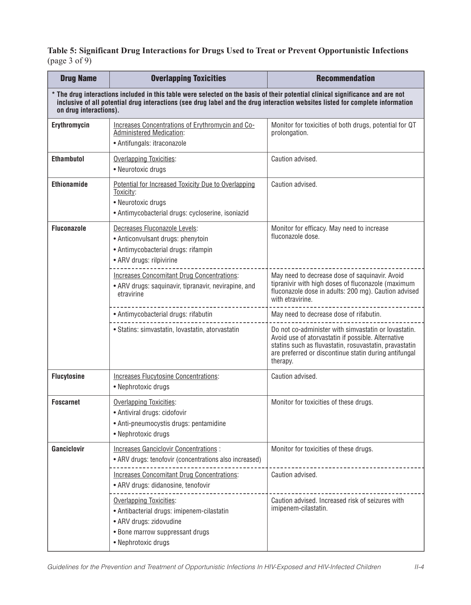**Table 5: Significant Drug Interactions for Drugs Used to Treat or Prevent Opportunistic Infections** (page 3 of  $9$ )

| <b>Drug Name</b>                                                                                                                                                                                                                                                                           | <b>Overlapping Toxicities</b>                                                                                                                                     | <b>Recommendation</b>                                                                                                                                                                                                                     |
|--------------------------------------------------------------------------------------------------------------------------------------------------------------------------------------------------------------------------------------------------------------------------------------------|-------------------------------------------------------------------------------------------------------------------------------------------------------------------|-------------------------------------------------------------------------------------------------------------------------------------------------------------------------------------------------------------------------------------------|
| * The drug interactions included in this table were selected on the basis of their potential clinical significance and are not<br>inclusive of all potential drug interactions (see drug label and the drug interaction websites listed for complete information<br>on drug interactions). |                                                                                                                                                                   |                                                                                                                                                                                                                                           |
| Erythromycin                                                                                                                                                                                                                                                                               | Increases Concentrations of Erythromycin and Co-<br><b>Administered Medication:</b><br>• Antifungals: itraconazole                                                | Monitor for toxicities of both drugs, potential for QT<br>prolongation.                                                                                                                                                                   |
| <b>Ethambutol</b>                                                                                                                                                                                                                                                                          | Overlapping Toxicities:<br>• Neurotoxic drugs                                                                                                                     | Caution advised.                                                                                                                                                                                                                          |
| <b>Ethionamide</b>                                                                                                                                                                                                                                                                         | Potential for Increased Toxicity Due to Overlapping<br>Toxicity:<br>• Neurotoxic drugs<br>• Antimycobacterial drugs: cycloserine, isoniazid                       | Caution advised.                                                                                                                                                                                                                          |
| <b>Fluconazole</b>                                                                                                                                                                                                                                                                         | Decreases Fluconazole Levels:<br>• Anticonvulsant drugs: phenytoin<br>• Antimycobacterial drugs: rifampin<br>• ARV drugs: rilpivirine                             | Monitor for efficacy. May need to increase<br>fluconazole dose.                                                                                                                                                                           |
|                                                                                                                                                                                                                                                                                            | <b>Increases Concomitant Drug Concentrations:</b><br>• ARV drugs: saquinavir, tipranavir, nevirapine, and<br>etravirine                                           | May need to decrease dose of saquinavir. Avoid<br>tipranivir with high doses of fluconazole (maximum<br>fluconazole dose in adults: 200 mg). Caution advised<br>with etravirine.                                                          |
|                                                                                                                                                                                                                                                                                            | • Antimycobacterial drugs: rifabutin                                                                                                                              | May need to decrease dose of rifabutin.                                                                                                                                                                                                   |
|                                                                                                                                                                                                                                                                                            | · Statins: simvastatin, lovastatin, atorvastatin                                                                                                                  | Do not co-administer with simvastatin or lovastatin.<br>Avoid use of atorvastatin if possible. Alternative<br>statins such as fluvastatin, rosuvastatin, pravastatin<br>are preferred or discontinue statin during antifungal<br>therapy. |
| <b>Flucytosine</b>                                                                                                                                                                                                                                                                         | Increases Flucytosine Concentrations:<br>• Nephrotoxic drugs                                                                                                      | Caution advised.                                                                                                                                                                                                                          |
| <b>Foscarnet</b>                                                                                                                                                                                                                                                                           | <b>Overlapping Toxicities:</b><br>• Antiviral drugs: cidofovir<br>• Anti-pneumocystis drugs: pentamidine<br>• Nephrotoxic drugs                                   | Monitor for toxicities of these drugs.                                                                                                                                                                                                    |
| Ganciclovir                                                                                                                                                                                                                                                                                | <b>Increases Ganciclovir Concentrations:</b><br>• ARV drugs: tenofovir (concentrations also increased)                                                            | Monitor for toxicities of these drugs.                                                                                                                                                                                                    |
|                                                                                                                                                                                                                                                                                            | <b>Increases Concomitant Drug Concentrations:</b><br>• ARV drugs: didanosine, tenofovir                                                                           | Caution advised.                                                                                                                                                                                                                          |
|                                                                                                                                                                                                                                                                                            | <b>Overlapping Toxicities:</b><br>• Antibacterial drugs: imipenem-cilastatin<br>• ARV drugs: zidovudine<br>• Bone marrow suppressant drugs<br>• Nephrotoxic drugs | Caution advised. Increased risk of seizures with<br>imipenem-cilastatin.                                                                                                                                                                  |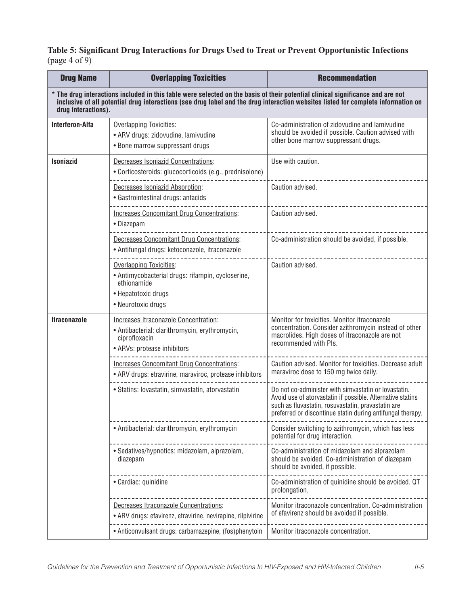# **Table 5: Significant Drug Interactions for Drugs Used to Treat or Prevent Opportunistic Infections** (page  $4$  of  $9$ )

| <b>Drug Name</b>                                                                                                                                                                                                                                                                           | <b>Overlapping Toxicities</b>                                                                                                                   | <b>Recommendation</b>                                                                                                                                                                                                                  |
|--------------------------------------------------------------------------------------------------------------------------------------------------------------------------------------------------------------------------------------------------------------------------------------------|-------------------------------------------------------------------------------------------------------------------------------------------------|----------------------------------------------------------------------------------------------------------------------------------------------------------------------------------------------------------------------------------------|
| * The drug interactions included in this table were selected on the basis of their potential clinical significance and are not<br>inclusive of all potential drug interactions (see drug label and the drug interaction websites listed for complete information on<br>drug interactions). |                                                                                                                                                 |                                                                                                                                                                                                                                        |
| <b>Interferon-Alfa</b>                                                                                                                                                                                                                                                                     | <b>Overlapping Toxicities:</b><br>• ARV drugs: zidovudine, lamivudine<br>• Bone marrow suppressant drugs                                        | Co-administration of zidovudine and lamivudine<br>should be avoided if possible. Caution advised with<br>other bone marrow suppressant drugs.                                                                                          |
| <b>Isoniazid</b>                                                                                                                                                                                                                                                                           | <b>Decreases Isoniazid Concentrations:</b><br>• Corticosteroids: glucocorticoids (e.g., prednisolone)                                           | Use with caution.                                                                                                                                                                                                                      |
|                                                                                                                                                                                                                                                                                            | Decreases Isoniazid Absorption:<br>• Gastrointestinal drugs: antacids                                                                           | Caution advised.                                                                                                                                                                                                                       |
|                                                                                                                                                                                                                                                                                            | <b>Increases Concomitant Drug Concentrations:</b><br>• Diazepam                                                                                 | Caution advised.                                                                                                                                                                                                                       |
|                                                                                                                                                                                                                                                                                            | <b>Decreases Concomitant Drug Concentrations:</b><br>• Antifungal drugs: ketoconazole, itraconazole                                             | Co-administration should be avoided, if possible.                                                                                                                                                                                      |
|                                                                                                                                                                                                                                                                                            | <b>Overlapping Toxicities:</b><br>• Antimycobacterial drugs: rifampin, cycloserine,<br>ethionamide<br>• Hepatotoxic drugs<br>• Neurotoxic drugs | Caution advised.                                                                                                                                                                                                                       |
| <b>Itraconazole</b>                                                                                                                                                                                                                                                                        | Increases Itraconazole Concentration:<br>· Antibacterial: clarithromycin, erythromycin,<br>ciprofloxacin<br>• ARVs: protease inhibitors         | Monitor for toxicities. Monitor itraconazole<br>concentration. Consider azithromycin instead of other<br>macrolides. High doses of itraconazole are not<br>recommended with PIs.                                                       |
|                                                                                                                                                                                                                                                                                            | <b>Increases Concomitant Drug Concentrations:</b><br>• ARV drugs: etravirine, maraviroc, protease inhibitors                                    | Caution advised. Monitor for toxicities. Decrease adult<br>maraviroc dose to 150 mg twice daily.                                                                                                                                       |
|                                                                                                                                                                                                                                                                                            | • Statins: lovastatin, simvastatin, atorvastatin                                                                                                | Do not co-administer with simvastatin or lovastatin.<br>Avoid use of atorvastatin if possible. Alternative statins<br>such as fluvastatin, rosuvastatin, pravastatin are<br>preferred or discontinue statin during antifungal therapy. |
|                                                                                                                                                                                                                                                                                            | • Antibacterial: clarithromycin, erythromycin                                                                                                   | Consider switching to azithromycin, which has less<br>potential for drug interaction.                                                                                                                                                  |
|                                                                                                                                                                                                                                                                                            | · Sedatives/hypnotics: midazolam, alprazolam,<br>diazepam                                                                                       | Co-administration of midazolam and alprazolam<br>should be avoided. Co-administration of diazepam<br>should be avoided, if possible.                                                                                                   |
|                                                                                                                                                                                                                                                                                            | · Cardiac: quinidine                                                                                                                            | Co-administration of quinidine should be avoided. QT<br>prolongation.                                                                                                                                                                  |
|                                                                                                                                                                                                                                                                                            | Decreases Itraconazole Concentrations:<br>• ARV drugs: efavirenz, etravirine, nevirapine, rilpivirine                                           | Monitor itraconazole concentration. Co-administration<br>of efavirenz should be avoided if possible.                                                                                                                                   |
|                                                                                                                                                                                                                                                                                            | • Anticonvulsant drugs: carbamazepine, (fos)phenytoin                                                                                           | Monitor itraconazole concentration.                                                                                                                                                                                                    |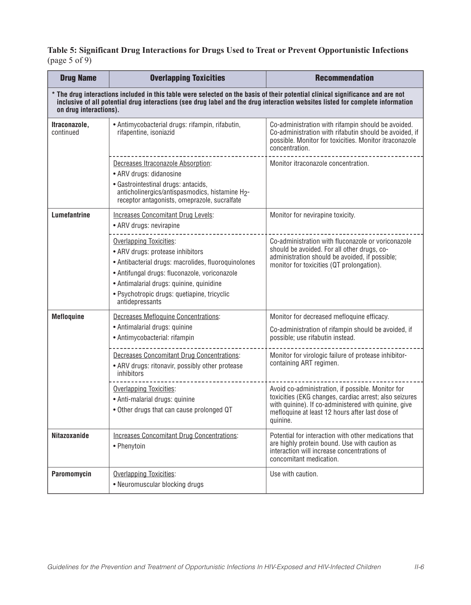# **Table 5: Significant Drug Interactions for Drugs Used to Treat or Prevent Opportunistic Infections** (page 5 of 9)

| <b>Drug Name</b>                                                                                                                                                                                                                                                                           | <b>Overlapping Toxicities</b>                                                                                                                                                                                                                                                            | <b>Recommendation</b>                                                                                                                                                                                                              |
|--------------------------------------------------------------------------------------------------------------------------------------------------------------------------------------------------------------------------------------------------------------------------------------------|------------------------------------------------------------------------------------------------------------------------------------------------------------------------------------------------------------------------------------------------------------------------------------------|------------------------------------------------------------------------------------------------------------------------------------------------------------------------------------------------------------------------------------|
| * The drug interactions included in this table were selected on the basis of their potential clinical significance and are not<br>inclusive of all potential drug interactions (see drug label and the drug interaction websites listed for complete information<br>on drug interactions). |                                                                                                                                                                                                                                                                                          |                                                                                                                                                                                                                                    |
| Itraconazole,<br>continued                                                                                                                                                                                                                                                                 | • Antimycobacterial drugs: rifampin, rifabutin,<br>rifapentine, isoniazid                                                                                                                                                                                                                | Co-administration with rifampin should be avoided.<br>Co-administration with rifabutin should be avoided, if<br>possible. Monitor for toxicities. Monitor itraconazole<br>concentration.                                           |
|                                                                                                                                                                                                                                                                                            | Decreases Itraconazole Absorption:<br>• ARV drugs: didanosine<br>· Gastrointestinal drugs: antacids,<br>anticholinergics/antispasmodics, histamine H2-<br>receptor antagonists, omeprazole, sucralfate                                                                                   | Monitor itraconazole concentration.                                                                                                                                                                                                |
| <b>Lumefantrine</b>                                                                                                                                                                                                                                                                        | <b>Increases Concomitant Drug Levels:</b><br>• ARV drugs: nevirapine                                                                                                                                                                                                                     | Monitor for nevirapine toxicity.                                                                                                                                                                                                   |
|                                                                                                                                                                                                                                                                                            | <b>Overlapping Toxicities:</b><br>• ARV drugs: protease inhibitors<br>• Antibacterial drugs: macrolides, fluoroquinolones<br>• Antifungal drugs: fluconazole, voriconazole<br>• Antimalarial drugs: quinine, quinidine<br>· Psychotropic drugs: quetiapine, tricyclic<br>antidepressants | Co-administration with fluconazole or voriconazole<br>should be avoided. For all other drugs, co-<br>administration should be avoided, if possible;<br>monitor for toxicities (QT prolongation).                                   |
| <b>Mefloquine</b>                                                                                                                                                                                                                                                                          | Decreases Mefloquine Concentrations:<br>• Antimalarial drugs: quinine<br>• Antimycobacterial: rifampin                                                                                                                                                                                   | Monitor for decreased mefloquine efficacy.<br>Co-administration of rifampin should be avoided, if<br>possible; use rifabutin instead.                                                                                              |
|                                                                                                                                                                                                                                                                                            | <b>Decreases Concomitant Drug Concentrations:</b><br>• ARV drugs: ritonavir, possibly other protease<br>inhibitors                                                                                                                                                                       | Monitor for virologic failure of protease inhibitor-<br>containing ART regimen.                                                                                                                                                    |
|                                                                                                                                                                                                                                                                                            | Overlapping Toxicities:<br>• Anti-malarial drugs: quinine<br>• Other drugs that can cause prolonged QT                                                                                                                                                                                   | Avoid co-administration, if possible. Monitor for<br>toxicities (EKG changes, cardiac arrest; also seizures<br>with quinine). If co-administered with quinine, give<br>mefloquine at least 12 hours after last dose of<br>quinine. |
| <b>Nitazoxanide</b>                                                                                                                                                                                                                                                                        | <b>Increases Concomitant Drug Concentrations:</b><br>• Phenytoin                                                                                                                                                                                                                         | Potential for interaction with other medications that<br>are highly protein bound. Use with caution as<br>interaction will increase concentrations of<br>concomitant medication.                                                   |
| Paromomycin                                                                                                                                                                                                                                                                                | <b>Overlapping Toxicities:</b><br>• Neuromuscular blocking drugs                                                                                                                                                                                                                         | Use with caution.                                                                                                                                                                                                                  |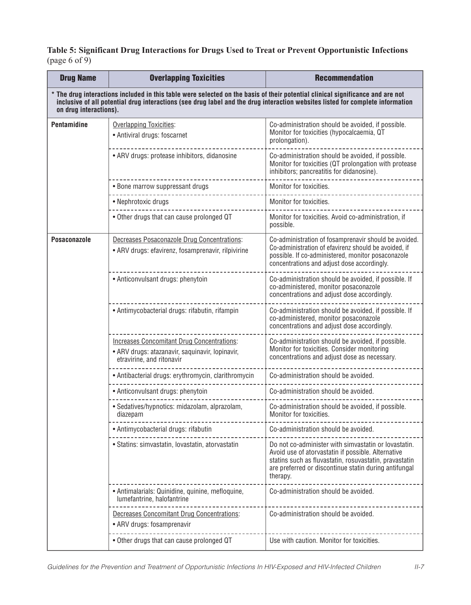#### **Table 5: Significant Drug Interactions for Drugs Used to Treat or Prevent Opportunistic Infections** (page 6 of 9)

| <b>Drug Name</b>                                                                                                                                                                                                                                                                           | <b>Overlapping Toxicities</b>                                                                                                     | <b>Recommendation</b>                                                                                                                                                                                                                     |
|--------------------------------------------------------------------------------------------------------------------------------------------------------------------------------------------------------------------------------------------------------------------------------------------|-----------------------------------------------------------------------------------------------------------------------------------|-------------------------------------------------------------------------------------------------------------------------------------------------------------------------------------------------------------------------------------------|
| * The drug interactions included in this table were selected on the basis of their potential clinical significance and are not<br>inclusive of all potential drug interactions (see drug label and the drug interaction websites listed for complete information<br>on drug interactions). |                                                                                                                                   |                                                                                                                                                                                                                                           |
| <b>Pentamidine</b>                                                                                                                                                                                                                                                                         | <b>Overlapping Toxicities:</b><br>• Antiviral drugs: foscarnet                                                                    | Co-administration should be avoided, if possible.<br>Monitor for toxicities (hypocalcaemia, QT<br>prolongation).                                                                                                                          |
|                                                                                                                                                                                                                                                                                            | • ARV drugs: protease inhibitors, didanosine                                                                                      | Co-administration should be avoided, if possible.<br>Monitor for toxicities (QT prolongation with protease<br>inhibitors; pancreatitis for didanosine).                                                                                   |
|                                                                                                                                                                                                                                                                                            | • Bone marrow suppressant drugs                                                                                                   | Monitor for toxicities.                                                                                                                                                                                                                   |
|                                                                                                                                                                                                                                                                                            | • Nephrotoxic drugs                                                                                                               | Monitor for toxicities.                                                                                                                                                                                                                   |
|                                                                                                                                                                                                                                                                                            | • Other drugs that can cause prolonged QT                                                                                         | Monitor for toxicities. Avoid co-administration, if<br>possible.                                                                                                                                                                          |
| <b>Posaconazole</b>                                                                                                                                                                                                                                                                        | Decreases Posaconazole Drug Concentrations:<br>• ARV drugs: efavirenz, fosamprenavir, rilpivirine                                 | Co-administration of fosamprenavir should be avoided.<br>Co-administration of efavirenz should be avoided, if<br>possible. If co-administered, monitor posaconazole<br>concentrations and adjust dose accordingly.                        |
|                                                                                                                                                                                                                                                                                            | • Anticonvulsant drugs: phenytoin                                                                                                 | Co-administration should be avoided, if possible. If<br>co-administered, monitor posaconazole<br>concentrations and adjust dose accordingly.                                                                                              |
|                                                                                                                                                                                                                                                                                            | • Antimycobacterial drugs: rifabutin, rifampin                                                                                    | Co-administration should be avoided, if possible. If<br>co-administered, monitor posaconazole<br>concentrations and adjust dose accordingly.                                                                                              |
|                                                                                                                                                                                                                                                                                            | <b>Increases Concomitant Drug Concentrations:</b><br>• ARV drugs: atazanavir, saquinavir, lopinavir,<br>etravirine, and ritonavir | Co-administration should be avoided, if possible.<br>Monitor for toxicities. Consider monitoring<br>concentrations and adjust dose as necessary.                                                                                          |
|                                                                                                                                                                                                                                                                                            | • Antibacterial drugs: erythromycin, clarithromycin                                                                               | Co-administration should be avoided.                                                                                                                                                                                                      |
|                                                                                                                                                                                                                                                                                            | • Anticonvulsant drugs: phenytoin                                                                                                 | Co-administration should be avoided.                                                                                                                                                                                                      |
|                                                                                                                                                                                                                                                                                            | • Sedatives/hypnotics: midazolam, alprazolam,<br>diazepam                                                                         | Co-administration should be avoided, if possible.<br>Monitor for toxicities.                                                                                                                                                              |
|                                                                                                                                                                                                                                                                                            | • Antimycobacterial drugs: rifabutin                                                                                              | Co-administration should be avoided.                                                                                                                                                                                                      |
|                                                                                                                                                                                                                                                                                            | · Statins: simvastatin, lovastatin, atorvastatin                                                                                  | Do not co-administer with simvastatin or lovastatin.<br>Avoid use of atorvastatin if possible. Alternative<br>statins such as fluvastatin, rosuvastatin, pravastatin<br>are preferred or discontinue statin during antifungal<br>therapy. |
|                                                                                                                                                                                                                                                                                            | • Antimalarials: Quinidine, quinine, mefloquine,<br>lumefantrine, halofantrine                                                    | Co-administration should be avoided.                                                                                                                                                                                                      |
|                                                                                                                                                                                                                                                                                            | Decreases Concomitant Drug Concentrations:<br>• ARV drugs: fosamprenavir                                                          | Co-administration should be avoided.                                                                                                                                                                                                      |
|                                                                                                                                                                                                                                                                                            | . Other drugs that can cause prolonged QT                                                                                         | Use with caution. Monitor for toxicities.                                                                                                                                                                                                 |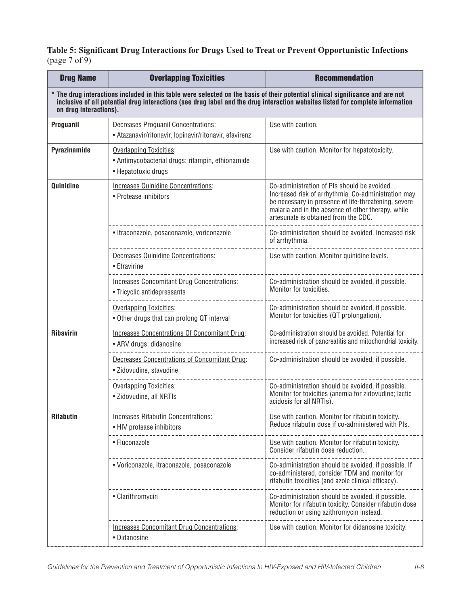#### **Table 5: Significant Drug Interactions for Drugs Used to Treat or Prevent Opportunistic Infections** (page 7 of 9)

| <b>Drug Name</b>                                                                                                                                                                                                                                                                           | <b>Overlapping Toxicities</b>                                                                             | <b>Recommendation</b>                                                                                                                                                                                                                                    |
|--------------------------------------------------------------------------------------------------------------------------------------------------------------------------------------------------------------------------------------------------------------------------------------------|-----------------------------------------------------------------------------------------------------------|----------------------------------------------------------------------------------------------------------------------------------------------------------------------------------------------------------------------------------------------------------|
| * The drug interactions included in this table were selected on the basis of their potential clinical significance and are not<br>inclusive of all potential drug interactions (see drug label and the drug interaction websites listed for complete information<br>on drug interactions). |                                                                                                           |                                                                                                                                                                                                                                                          |
| Proguanil                                                                                                                                                                                                                                                                                  | <b>Decreases Proguanil Concentrations:</b><br>• Atazanavir/ritonavir, lopinavir/ritonavir, efavirenz      | Use with caution.                                                                                                                                                                                                                                        |
| Pyrazinamide                                                                                                                                                                                                                                                                               | <b>Overlapping Toxicities:</b><br>• Antimycobacterial drugs: rifampin, ethionamide<br>• Hepatotoxic drugs | Use with caution. Monitor for hepatotoxicity.                                                                                                                                                                                                            |
| <b>Quinidine</b>                                                                                                                                                                                                                                                                           | <b>Increases Quinidine Concentrations:</b><br>• Protease inhibitors                                       | Co-administration of PIs should be avoided.<br>Increased risk of arrhythmia. Co-administration may<br>be necessary in presence of life-threatening, severe<br>malaria and in the absence of other therapy, while<br>artesunate is obtained from the CDC. |
|                                                                                                                                                                                                                                                                                            | · Itraconazole, posaconazole, voriconazole                                                                | Co-administration should be avoided. Increased risk<br>of arrhythmia.                                                                                                                                                                                    |
|                                                                                                                                                                                                                                                                                            | <b>Decreases Quinidine Concentrations:</b><br>• Etravirine                                                | Use with caution. Monitor quinidine levels.                                                                                                                                                                                                              |
|                                                                                                                                                                                                                                                                                            | <b>Increases Concomitant Drug Concentrations:</b><br>• Tricyclic antidepressants                          | Co-administration should be avoided, if possible.<br>Monitor for toxicities.                                                                                                                                                                             |
|                                                                                                                                                                                                                                                                                            | Overlapping Toxicities:<br>• Other drugs that can prolong QT interval                                     | Co-administration should be avoided, if possible.<br>Monitor for toxicities (QT prolongation).                                                                                                                                                           |
| <b>Ribavirin</b>                                                                                                                                                                                                                                                                           | <b>Increases Concentrations Of Concomitant Drug:</b><br>• ARV drugs: didanosine                           | Co-administration should be avoided. Potential for<br>increased risk of pancreatitis and mitochondrial toxicity.                                                                                                                                         |
|                                                                                                                                                                                                                                                                                            | Decreases Concentrations of Concomitant Drug:<br>· Zidovudine, stavudine                                  | Co-administration should be avoided, if possible.                                                                                                                                                                                                        |
|                                                                                                                                                                                                                                                                                            | <b>Overlapping Toxicities:</b><br>• Zidovudine, all NRTIs                                                 | Co-administration should be avoided, if possible.<br>Monitor for toxicities (anemia for zidovudine; lactic<br>acidosis for all NRTIs).                                                                                                                   |
| <b>Rifabutin</b>                                                                                                                                                                                                                                                                           | <b>Increases Rifabutin Concentrations:</b><br>• HIV protease inhibitors                                   | Use with caution. Monitor for rifabutin toxicity.<br>Reduce rifabutin dose if co-administered with PIs.                                                                                                                                                  |
|                                                                                                                                                                                                                                                                                            | • Fluconazole                                                                                             | Use with caution. Monitor for rifabutin toxicity.<br>Consider rifabutin dose reduction.                                                                                                                                                                  |
|                                                                                                                                                                                                                                                                                            | · Voriconazole, itraconazole, posaconazole                                                                | Co-administration should be avoided, if possible. If<br>co-administered, consider TDM and monitor for<br>rifabutin toxicities (and azole clinical efficacy).                                                                                             |
|                                                                                                                                                                                                                                                                                            | • Clarithromycin                                                                                          | Co-administration should be avoided, if possible.<br>Monitor for rifabutin toxicity. Consider rifabutin dose<br>reduction or using azithromycin instead.                                                                                                 |
|                                                                                                                                                                                                                                                                                            | <b>Increases Concomitant Drug Concentrations:</b><br>• Didanosine                                         | Use with caution. Monitor for didanosine toxicity.                                                                                                                                                                                                       |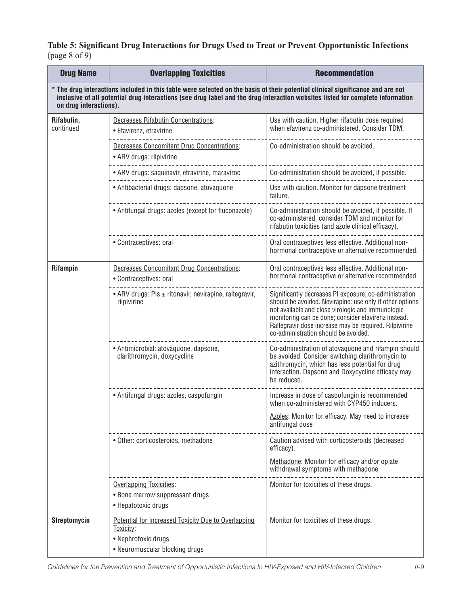**Table 5: Significant Drug Interactions for Drugs Used to Treat or Prevent Opportunistic Infections** (page 8 of 9)

| <b>Drug Name</b>                                                                                                                                                                                                                                                                           | <b>Overlapping Toxicities</b>                                                                                             | <b>Recommendation</b>                                                                                                                                                                                                                                                                                                            |  |
|--------------------------------------------------------------------------------------------------------------------------------------------------------------------------------------------------------------------------------------------------------------------------------------------|---------------------------------------------------------------------------------------------------------------------------|----------------------------------------------------------------------------------------------------------------------------------------------------------------------------------------------------------------------------------------------------------------------------------------------------------------------------------|--|
| * The drug interactions included in this table were selected on the basis of their potential clinical significance and are not<br>inclusive of all potential drug interactions (see drug label and the drug interaction websites listed for complete information<br>on drug interactions). |                                                                                                                           |                                                                                                                                                                                                                                                                                                                                  |  |
| Rifabutin,<br>continued                                                                                                                                                                                                                                                                    | <b>Decreases Rifabutin Concentrations:</b><br>• Efavirenz, etravirine                                                     | Use with caution. Higher rifabutin dose required<br>when efavirenz co-administered. Consider TDM.                                                                                                                                                                                                                                |  |
|                                                                                                                                                                                                                                                                                            | <b>Decreases Concomitant Drug Concentrations:</b><br>• ARV drugs: rilpivirine                                             | Co-administration should be avoided.                                                                                                                                                                                                                                                                                             |  |
|                                                                                                                                                                                                                                                                                            | • ARV drugs: saquinavir, etravirine, maraviroc                                                                            | Co-administration should be avoided, if possible.                                                                                                                                                                                                                                                                                |  |
|                                                                                                                                                                                                                                                                                            | · Antibacterial drugs: dapsone, atovaquone                                                                                | Use with caution. Monitor for dapsone treatment<br>failure.                                                                                                                                                                                                                                                                      |  |
|                                                                                                                                                                                                                                                                                            | • Antifungal drugs: azoles (except for fluconazole)                                                                       | Co-administration should be avoided, if possible. If<br>co-administered, consider TDM and monitor for<br>rifabutin toxicities (and azole clinical efficacy).                                                                                                                                                                     |  |
|                                                                                                                                                                                                                                                                                            | • Contraceptives: oral                                                                                                    | Oral contraceptives less effective. Additional non-<br>hormonal contraceptive or alternative recommended.                                                                                                                                                                                                                        |  |
| Rifampin                                                                                                                                                                                                                                                                                   | <b>Decreases Concomitant Drug Concentrations:</b><br>• Contraceptives: oral                                               | Oral contraceptives less effective. Additional non-<br>hormonal contraceptive or alternative recommended.                                                                                                                                                                                                                        |  |
|                                                                                                                                                                                                                                                                                            | • ARV drugs: PIs ± ritonavir, nevirapine, raltegravir,<br>rilpivirine                                                     | Significantly decreases PI exposure; co-administration<br>should be avoided. Nevirapine: use only if other options<br>not available and close virologic and immunologic<br>monitoring can be done; consider efavirenz instead.<br>Raltegravir dose increase may be required. Rilpivirine<br>co-administration should be avoided. |  |
|                                                                                                                                                                                                                                                                                            | · Antimicrobial: atovaquone, dapsone,<br>clarithromycin, doxycycline                                                      | Co-administration of atovaquone and rifampin should<br>be avoided. Consider switching clarithromycin to<br>azithromycin, which has less potential for drug<br>interaction. Dapsone and Doxycycline efficacy may<br>be reduced.                                                                                                   |  |
|                                                                                                                                                                                                                                                                                            | • Antifungal drugs: azoles, caspofungin                                                                                   | Increase in dose of caspofungin is recommended<br>when co-administered with CYP450 inducers.                                                                                                                                                                                                                                     |  |
|                                                                                                                                                                                                                                                                                            |                                                                                                                           | Azoles: Monitor for efficacy. May need to increase<br>antifungal dose                                                                                                                                                                                                                                                            |  |
|                                                                                                                                                                                                                                                                                            | · Other: corticosteroids, methadone                                                                                       | Caution advised with corticosteroids (decreased<br>efficacy).                                                                                                                                                                                                                                                                    |  |
|                                                                                                                                                                                                                                                                                            |                                                                                                                           | Methadone: Monitor for efficacy and/or opiate<br>withdrawal symptoms with methadone.                                                                                                                                                                                                                                             |  |
|                                                                                                                                                                                                                                                                                            | Overlapping Toxicities:<br>• Bone marrow suppressant drugs<br>· Hepatotoxic drugs                                         | Monitor for toxicities of these drugs.                                                                                                                                                                                                                                                                                           |  |
| <b>Streptomycin</b>                                                                                                                                                                                                                                                                        | Potential for Increased Toxicity Due to Overlapping<br>Toxicity:<br>· Nephrotoxic drugs<br>• Neuromuscular blocking drugs | Monitor for toxicities of these drugs.                                                                                                                                                                                                                                                                                           |  |